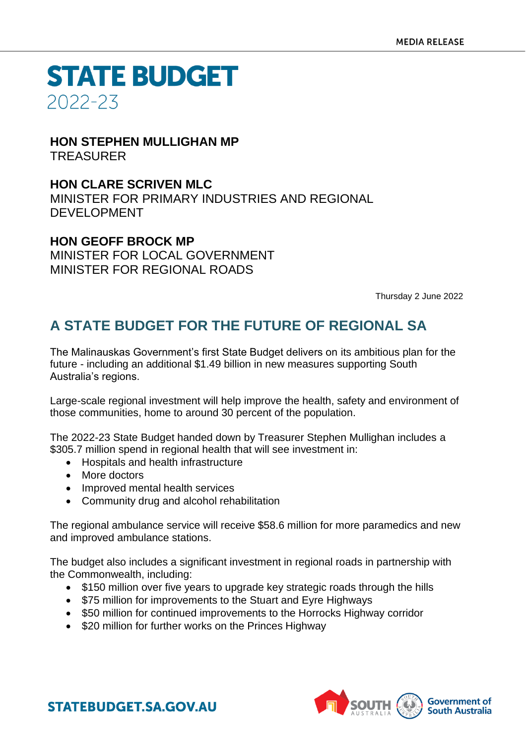#### **HON STEPHEN MULLIGHAN MP** TREASURER

### **HON CLARE SCRIVEN MLC**

MINISTER FOR PRIMARY INDUSTRIES AND REGIONAL DEVELOPMENT

### **HON GEOFF BROCK MP**

MINISTER FOR LOCAL GOVERNMENT MINISTER FOR REGIONAL ROADS

Thursday 2 June 2022

## **A STATE BUDGET FOR THE FUTURE OF REGIONAL SA**

The Malinauskas Government's first State Budget delivers on its ambitious plan for the future - including an additional \$1.49 billion in new measures supporting South Australia's regions.

Large-scale regional investment will help improve the health, safety and environment of those communities, home to around 30 percent of the population.

The 2022-23 State Budget handed down by Treasurer Stephen Mullighan includes a \$305.7 million spend in regional health that will see investment in:

- Hospitals and health infrastructure
- More doctors
- Improved mental health services
- Community drug and alcohol rehabilitation

The regional ambulance service will receive \$58.6 million for more paramedics and new and improved ambulance stations.

The budget also includes a significant investment in regional roads in partnership with the Commonwealth, including:

- \$150 million over five years to upgrade key strategic roads through the hills
- \$75 million for improvements to the Stuart and Eyre Highways
- \$50 million for continued improvements to the Horrocks Highway corridor
- \$20 million for further works on the Princes Highway

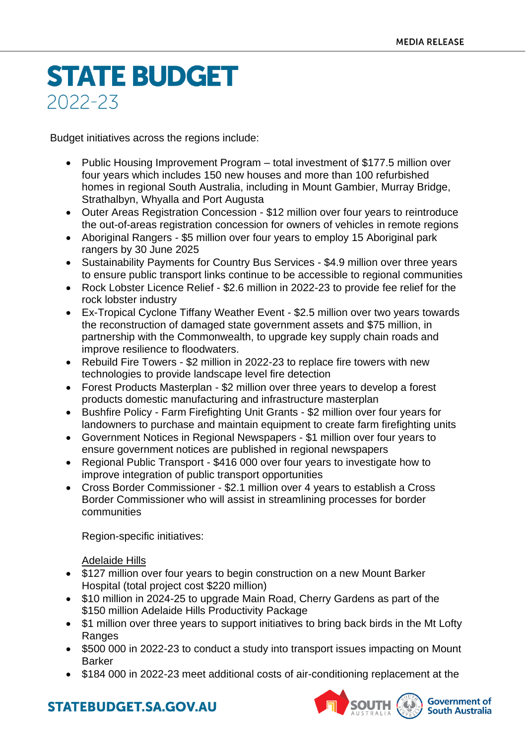Budget initiatives across the regions include:

- Public Housing Improvement Program total investment of \$177.5 million over four years which includes 150 new houses and more than 100 refurbished homes in regional South Australia, including in Mount Gambier, Murray Bridge, Strathalbyn, Whyalla and Port Augusta
- Outer Areas Registration Concession \$12 million over four years to reintroduce the out-of-areas registration concession for owners of vehicles in remote regions
- Aboriginal Rangers \$5 million over four years to employ 15 Aboriginal park rangers by 30 June 2025
- Sustainability Payments for Country Bus Services \$4.9 million over three years to ensure public transport links continue to be accessible to regional communities
- Rock Lobster Licence Relief \$2.6 million in 2022-23 to provide fee relief for the rock lobster industry
- Ex-Tropical Cyclone Tiffany Weather Event \$2.5 million over two years towards the reconstruction of damaged state government assets and \$75 million, in partnership with the Commonwealth, to upgrade key supply chain roads and improve resilience to floodwaters.
- Rebuild Fire Towers \$2 million in 2022-23 to replace fire towers with new technologies to provide landscape level fire detection
- Forest Products Masterplan \$2 million over three years to develop a forest products domestic manufacturing and infrastructure masterplan
- Bushfire Policy Farm Firefighting Unit Grants \$2 million over four years for landowners to purchase and maintain equipment to create farm firefighting units
- Government Notices in Regional Newspapers \$1 million over four years to ensure government notices are published in regional newspapers
- Regional Public Transport \$416 000 over four years to investigate how to improve integration of public transport opportunities
- Cross Border Commissioner \$2.1 million over 4 years to establish a Cross Border Commissioner who will assist in streamlining processes for border communities

Region-specific initiatives:

#### Adelaide Hills

- \$127 million over four years to begin construction on a new Mount Barker Hospital (total project cost \$220 million)
- \$10 million in 2024-25 to upgrade Main Road, Cherry Gardens as part of the \$150 million Adelaide Hills Productivity Package
- \$1 million over three years to support initiatives to bring back birds in the Mt Lofty Ranges
- \$500 000 in 2022-23 to conduct a study into transport issues impacting on Mount Barker
- \$184 000 in 2022-23 meet additional costs of air-conditioning replacement at the

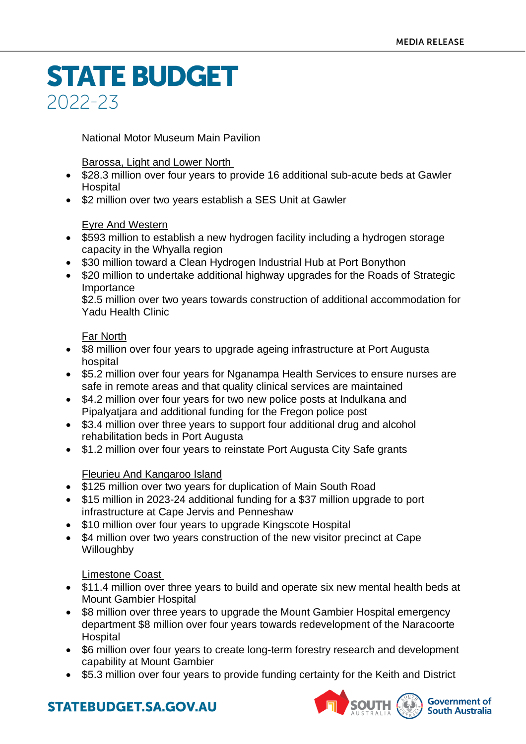National Motor Museum Main Pavilion

#### Barossa, Light and Lower North

- \$28.3 million over four years to provide 16 additional sub-acute beds at Gawler Hospital
- \$2 million over two years establish a SES Unit at Gawler

#### Eyre And Western

- \$593 million to establish a new hydrogen facility including a hydrogen storage capacity in the Whyalla region
- \$30 million toward a Clean Hydrogen Industrial Hub at Port Bonython
- \$20 million to undertake additional highway upgrades for the Roads of Strategic Importance

\$2.5 million over two years towards construction of additional accommodation for Yadu Health Clinic

#### Far North

- \$8 million over four years to upgrade ageing infrastructure at Port Augusta hospital
- \$5.2 million over four years for Nganampa Health Services to ensure nurses are safe in remote areas and that quality clinical services are maintained
- \$4.2 million over four years for two new police posts at Indulkana and Pipalyatjara and additional funding for the Fregon police post
- \$3.4 million over three years to support four additional drug and alcohol rehabilitation beds in Port Augusta
- \$1.2 million over four years to reinstate Port Augusta City Safe grants

#### Fleurieu And Kangaroo Island

- \$125 million over two years for duplication of Main South Road
- \$15 million in 2023-24 additional funding for a \$37 million upgrade to port infrastructure at Cape Jervis and Penneshaw
- \$10 million over four years to upgrade Kingscote Hospital
- \$4 million over two years construction of the new visitor precinct at Cape Willoughby

#### Limestone Coast

- \$11.4 million over three years to build and operate six new mental health beds at Mount Gambier Hospital
- \$8 million over three years to upgrade the Mount Gambier Hospital emergency department \$8 million over four years towards redevelopment of the Naracoorte Hospital
- \$6 million over four years to create long-term forestry research and development capability at Mount Gambier
- \$5.3 million over four years to provide funding certainty for the Keith and District

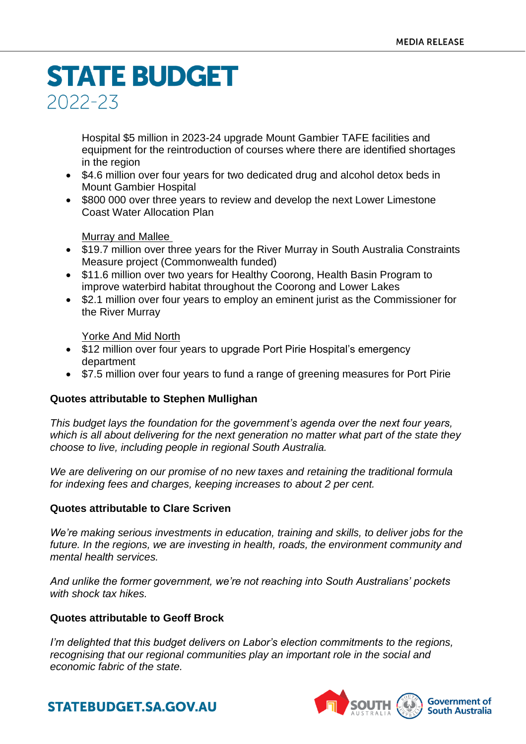Hospital \$5 million in 2023-24 upgrade Mount Gambier TAFE facilities and equipment for the reintroduction of courses where there are identified shortages in the region

- \$4.6 million over four years for two dedicated drug and alcohol detox beds in Mount Gambier Hospital
- \$800 000 over three years to review and develop the next Lower Limestone Coast Water Allocation Plan

#### Murray and Mallee

- \$19.7 million over three years for the River Murray in South Australia Constraints Measure project (Commonwealth funded)
- \$11.6 million over two years for Healthy Coorong, Health Basin Program to improve waterbird habitat throughout the Coorong and Lower Lakes
- \$2.1 million over four years to employ an eminent jurist as the Commissioner for the River Murray

Yorke And Mid North

- \$12 million over four years to upgrade Port Pirie Hospital's emergency department
- \$7.5 million over four years to fund a range of greening measures for Port Pirie

#### **Quotes attributable to Stephen Mullighan**

*This budget lays the foundation for the government's agenda over the next four years, which is all about delivering for the next generation no matter what part of the state they choose to live, including people in regional South Australia.*

*We are delivering on our promise of no new taxes and retaining the traditional formula for indexing fees and charges, keeping increases to about 2 per cent.*

#### **Quotes attributable to Clare Scriven**

*We're making serious investments in education, training and skills, to deliver jobs for the future. In the regions, we are investing in health, roads, the environment community and mental health services.*

*And unlike the former government, we're not reaching into South Australians' pockets with shock tax hikes.* 

#### **Quotes attributable to Geoff Brock**

*I'm delighted that this budget delivers on Labor's election commitments to the regions, recognising that our regional communities play an important role in the social and economic fabric of the state.*